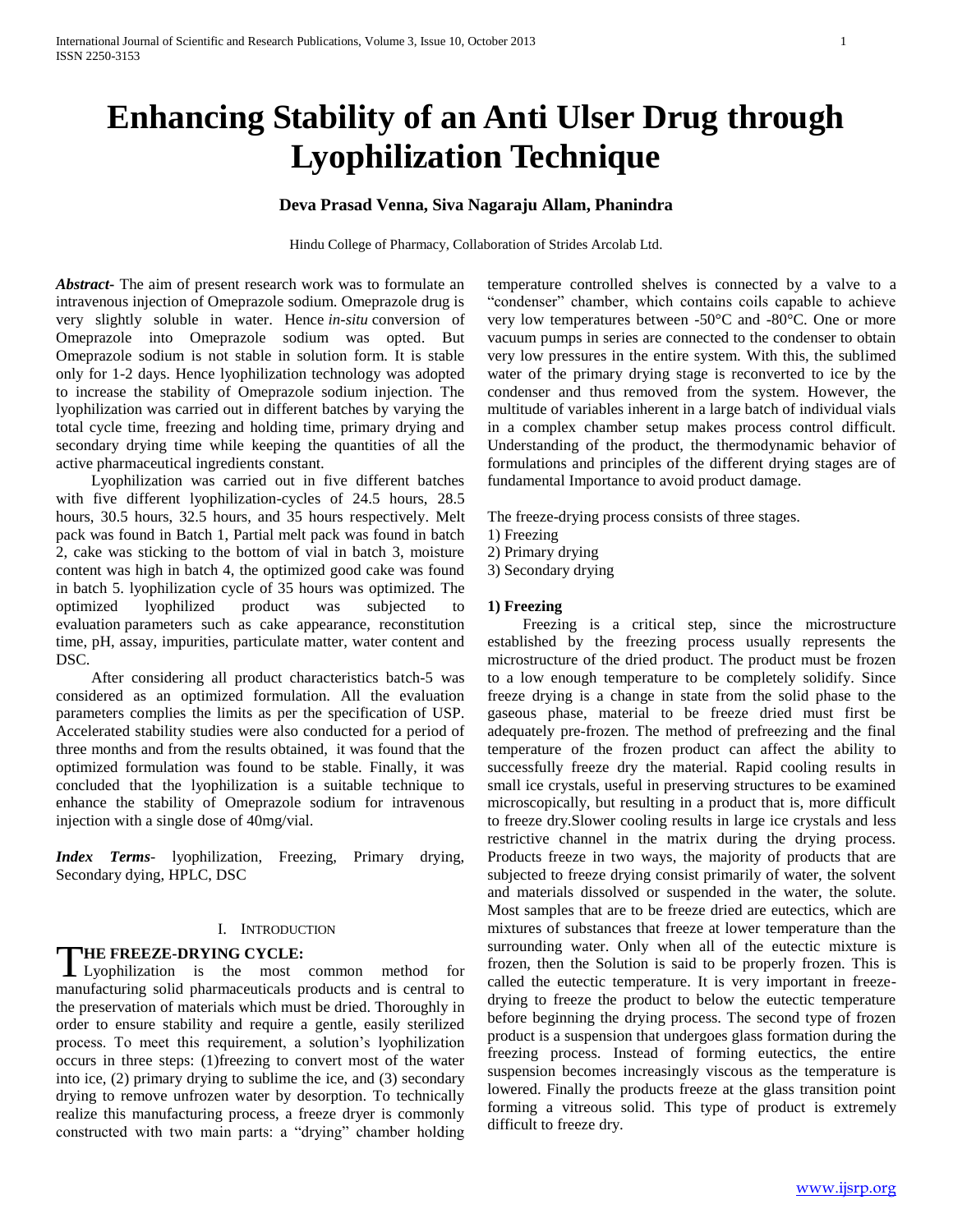# **Enhancing Stability of an Anti Ulser Drug through Lyophilization Technique**

## **Deva Prasad Venna, Siva Nagaraju Allam, Phanindra**

Hindu College of Pharmacy, Collaboration of Strides Arcolab Ltd.

*Abstract***-** The aim of present research work was to formulate an intravenous injection of Omeprazole sodium. Omeprazole drug is very slightly soluble in water. Hence *in-situ* conversion of Omeprazole into Omeprazole sodium was opted. But Omeprazole sodium is not stable in solution form. It is stable only for 1-2 days. Hence lyophilization technology was adopted to increase the stability of Omeprazole sodium injection. The lyophilization was carried out in different batches by varying the total cycle time, freezing and holding time, primary drying and secondary drying time while keeping the quantities of all the active pharmaceutical ingredients constant.

 Lyophilization was carried out in five different batches with five different lyophilization-cycles of 24.5 hours, 28.5 hours, 30.5 hours, 32.5 hours, and 35 hours respectively. Melt pack was found in Batch 1, Partial melt pack was found in batch 2, cake was sticking to the bottom of vial in batch 3, moisture content was high in batch 4, the optimized good cake was found in batch 5. lyophilization cycle of 35 hours was optimized. The optimized lyophilized product was subjected to evaluation parameters such as cake appearance, reconstitution time, pH, assay, impurities, particulate matter, water content and DSC.

 After considering all product characteristics batch-5 was considered as an optimized formulation. All the evaluation parameters complies the limits as per the specification of USP. Accelerated stability studies were also conducted for a period of three months and from the results obtained, it was found that the optimized formulation was found to be stable. Finally, it was concluded that the lyophilization is a suitable technique to enhance the stability of Omeprazole sodium for intravenous injection with a single dose of 40mg/vial.

*Index Terms*- lyophilization, Freezing, Primary drying, Secondary dying, HPLC, DSC

#### I. INTRODUCTION

#### **HE FREEZE-DRYING CYCLE:**

THE FREEZE-DRYING CYCLE:<br>
Lyophilization is the most common method for manufacturing solid pharmaceuticals products and is central to the preservation of materials which must be dried. Thoroughly in order to ensure stability and require a gentle, easily sterilized process. To meet this requirement, a solution's lyophilization occurs in three steps: (1)freezing to convert most of the water into ice, (2) primary drying to sublime the ice, and (3) secondary drying to remove unfrozen water by desorption. To technically realize this manufacturing process, a freeze dryer is commonly constructed with two main parts: a "drying" chamber holding

temperature controlled shelves is connected by a valve to a "condenser" chamber, which contains coils capable to achieve very low temperatures between -50°C and -80°C. One or more vacuum pumps in series are connected to the condenser to obtain very low pressures in the entire system. With this, the sublimed water of the primary drying stage is reconverted to ice by the condenser and thus removed from the system. However, the multitude of variables inherent in a large batch of individual vials in a complex chamber setup makes process control difficult. Understanding of the product, the thermodynamic behavior of formulations and principles of the different drying stages are of fundamental Importance to avoid product damage.

The freeze-drying process consists of three stages.

- 1) Freezing
- 2) Primary drying
- 3) Secondary drying

#### **1) Freezing**

 Freezing is a critical step, since the microstructure established by the freezing process usually represents the microstructure of the dried product. The product must be frozen to a low enough temperature to be completely solidify. Since freeze drying is a change in state from the solid phase to the gaseous phase, material to be freeze dried must first be adequately pre-frozen. The method of prefreezing and the final temperature of the frozen product can affect the ability to successfully freeze dry the material. Rapid cooling results in small ice crystals, useful in preserving structures to be examined microscopically, but resulting in a product that is, more difficult to freeze dry.Slower cooling results in large ice crystals and less restrictive channel in the matrix during the drying process. Products freeze in two ways, the majority of products that are subjected to freeze drying consist primarily of water, the solvent and materials dissolved or suspended in the water, the solute. Most samples that are to be freeze dried are eutectics, which are mixtures of substances that freeze at lower temperature than the surrounding water. Only when all of the eutectic mixture is frozen, then the Solution is said to be properly frozen. This is called the eutectic temperature. It is very important in freezedrying to freeze the product to below the eutectic temperature before beginning the drying process. The second type of frozen product is a suspension that undergoes glass formation during the freezing process. Instead of forming eutectics, the entire suspension becomes increasingly viscous as the temperature is lowered. Finally the products freeze at the glass transition point forming a vitreous solid. This type of product is extremely difficult to freeze dry.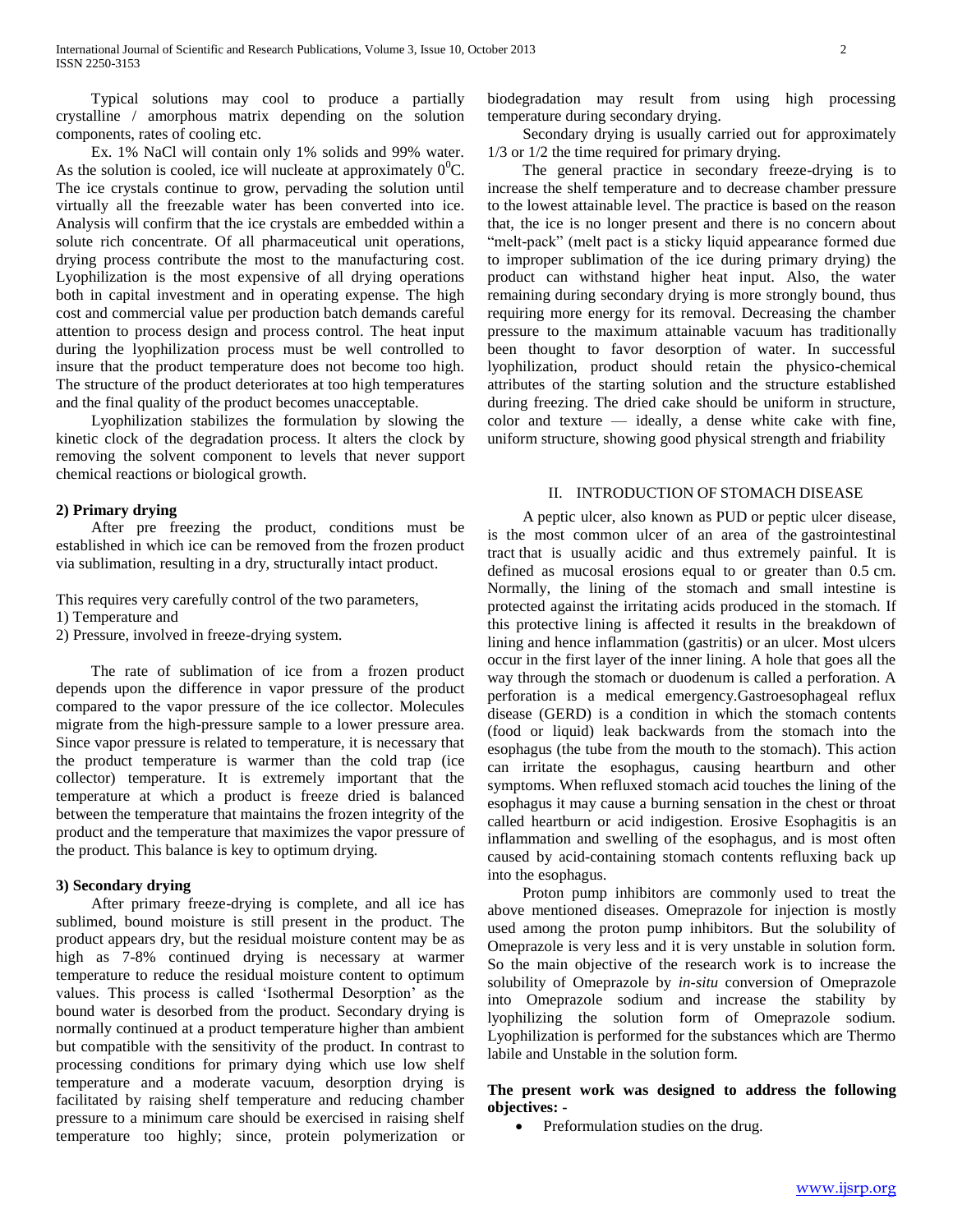Typical solutions may cool to produce a partially crystalline / amorphous matrix depending on the solution components, rates of cooling etc.

 Ex. 1% NaCl will contain only 1% solids and 99% water. As the solution is cooled, ice will nucleate at approximately  $0^0C$ . The ice crystals continue to grow, pervading the solution until virtually all the freezable water has been converted into ice. Analysis will confirm that the ice crystals are embedded within a solute rich concentrate. Of all pharmaceutical unit operations, drying process contribute the most to the manufacturing cost. Lyophilization is the most expensive of all drying operations both in capital investment and in operating expense. The high cost and commercial value per production batch demands careful attention to process design and process control. The heat input during the lyophilization process must be well controlled to insure that the product temperature does not become too high. The structure of the product deteriorates at too high temperatures and the final quality of the product becomes unacceptable.

 Lyophilization stabilizes the formulation by slowing the kinetic clock of the degradation process. It alters the clock by removing the solvent component to levels that never support chemical reactions or biological growth.

#### **2) Primary drying**

 After pre freezing the product, conditions must be established in which ice can be removed from the frozen product via sublimation, resulting in a dry, structurally intact product.

This requires very carefully control of the two parameters,

1) Temperature and

2) Pressure, involved in freeze-drying system.

 The rate of sublimation of ice from a frozen product depends upon the difference in vapor pressure of the product compared to the vapor pressure of the ice collector. Molecules migrate from the high-pressure sample to a lower pressure area. Since vapor pressure is related to temperature, it is necessary that the product temperature is warmer than the cold trap (ice collector) temperature. It is extremely important that the temperature at which a product is freeze dried is balanced between the temperature that maintains the frozen integrity of the product and the temperature that maximizes the vapor pressure of the product. This balance is key to optimum drying.

#### **3) Secondary drying**

 After primary freeze-drying is complete, and all ice has sublimed, bound moisture is still present in the product. The product appears dry, but the residual moisture content may be as high as 7-8% continued drying is necessary at warmer temperature to reduce the residual moisture content to optimum values. This process is called 'Isothermal Desorption' as the bound water is desorbed from the product. Secondary drying is normally continued at a product temperature higher than ambient but compatible with the sensitivity of the product. In contrast to processing conditions for primary dying which use low shelf temperature and a moderate vacuum, desorption drying is facilitated by raising shelf temperature and reducing chamber pressure to a minimum care should be exercised in raising shelf temperature too highly; since, protein polymerization or

biodegradation may result from using high processing temperature during secondary drying.

 Secondary drying is usually carried out for approximately 1/3 or 1/2 the time required for primary drying.

 The general practice in secondary freeze-drying is to increase the shelf temperature and to decrease chamber pressure to the lowest attainable level. The practice is based on the reason that, the ice is no longer present and there is no concern about "melt-pack" (melt pact is a sticky liquid appearance formed due to improper sublimation of the ice during primary drying) the product can withstand higher heat input. Also, the water remaining during secondary drying is more strongly bound, thus requiring more energy for its removal. Decreasing the chamber pressure to the maximum attainable vacuum has traditionally been thought to favor desorption of water. In successful lyophilization, product should retain the physico-chemical attributes of the starting solution and the structure established during freezing. The dried cake should be uniform in structure, color and texture — ideally, a dense white cake with fine, uniform structure, showing good physical strength and friability

#### II. INTRODUCTION OF STOMACH DISEASE

 A peptic ulcer, also known as PUD or peptic ulcer disease, is the most common ulcer of an area of the gastrointestinal tract that is usually acidic and thus extremely painful. It is defined as mucosal erosions equal to or greater than 0.5 cm. Normally, the lining of the stomach and small intestine is protected against the irritating acids produced in the stomach. If this protective lining is affected it results in the breakdown of lining and hence inflammation (gastritis) or an ulcer. Most ulcers occur in the first layer of the inner lining. A hole that goes all the way through the stomach or duodenum is called a perforation. A perforation is a medical emergency.Gastroesophageal reflux disease (GERD) is a condition in which the stomach contents (food or liquid) leak backwards from the stomach into the esophagus (the tube from the mouth to the stomach). This action can irritate the esophagus, causing heartburn and other symptoms. When refluxed stomach acid touches the lining of the esophagus it may cause a burning sensation in the chest or throat called heartburn or acid indigestion. Erosive Esophagitis is an inflammation and swelling of the esophagus, and is most often caused by acid-containing stomach contents refluxing back up into the esophagus.

 Proton pump inhibitors are commonly used to treat the above mentioned diseases. Omeprazole for injection is mostly used among the proton pump inhibitors. But the solubility of Omeprazole is very less and it is very unstable in solution form. So the main objective of the research work is to increase the solubility of Omeprazole by *in-situ* conversion of Omeprazole into Omeprazole sodium and increase the stability by lyophilizing the solution form of Omeprazole sodium. Lyophilization is performed for the substances which are Thermo labile and Unstable in the solution form.

#### **The present work was designed to address the following objectives: -**

Preformulation studies on the drug.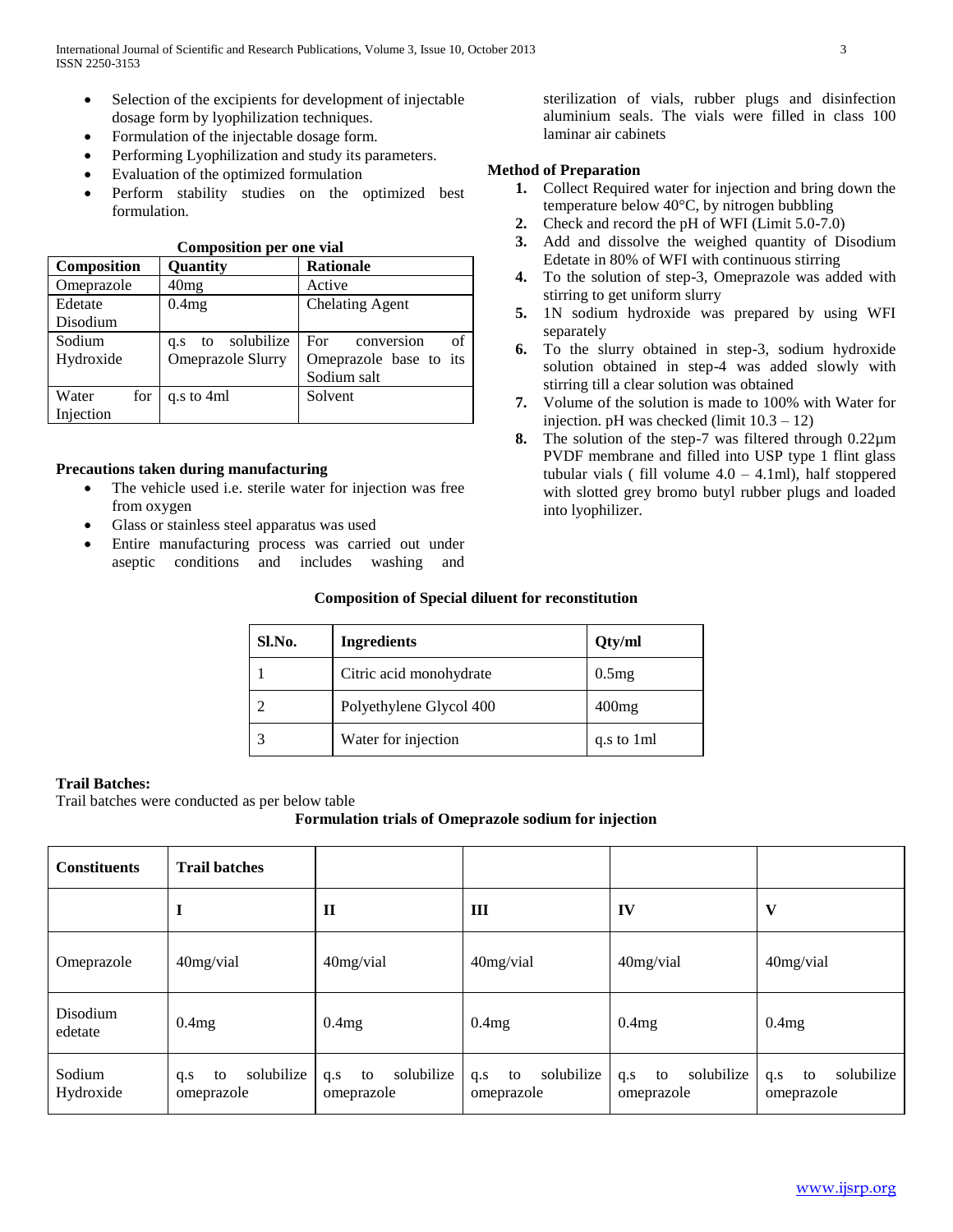- Selection of the excipients for development of injectable dosage form by lyophilization techniques.
- Formulation of the injectable dosage form.
- Performing Lyophilization and study its parameters.
- Evaluation of the optimized formulation
- Perform stability studies on the optimized best formulation.

**Composition per one vial**

| Composition               | Quantity                                     | <b>Rationale</b>                                                          |  |  |
|---------------------------|----------------------------------------------|---------------------------------------------------------------------------|--|--|
| Omeprazole                | 40mg                                         | Active                                                                    |  |  |
| Edetate<br>Disodium       | 0.4mg                                        | <b>Chelating Agent</b>                                                    |  |  |
| Sodium<br>Hydroxide       | solubilize<br>to<br>q.s<br>Omeprazole Slurry | conversion<br>of<br>For <b>F</b><br>Omeprazole base to its<br>Sodium salt |  |  |
| Water<br>for<br>Injection | q.s to 4ml                                   | Solvent                                                                   |  |  |

## **Precautions taken during manufacturing**

- The vehicle used i.e. sterile water for injection was free from oxygen
- Glass or stainless steel apparatus was used
- Entire manufacturing process was carried out under aseptic conditions and includes washing and

sterilization of vials, rubber plugs and disinfection aluminium seals. The vials were filled in class 100 laminar air cabinets

## **Method of Preparation**

- **1.** Collect Required water for injection and bring down the temperature below 40°C, by nitrogen bubbling
- **2.** Check and record the pH of WFI (Limit 5.0-7.0)
- **3.** Add and dissolve the weighed quantity of Disodium Edetate in 80% of WFI with continuous stirring
- **4.** To the solution of step-3, Omeprazole was added with stirring to get uniform slurry
- **5.** 1N sodium hydroxide was prepared by using WFI separately
- **6.** To the slurry obtained in step-3, sodium hydroxide solution obtained in step-4 was added slowly with stirring till a clear solution was obtained
- **7.** Volume of the solution is made to 100% with Water for injection. pH was checked (limit  $10.3 - 12$ )
- **8.** The solution of the step-7 was filtered through 0.22µm PVDF membrane and filled into USP type 1 flint glass tubular vials (fill volume  $4.0 - 4.1$ ml), half stoppered with slotted grey bromo butyl rubber plugs and loaded into lyophilizer.

#### **Composition of Special diluent for reconstitution**

| Sl.No. | <b>Ingredients</b>      | Qty/ml     |
|--------|-------------------------|------------|
|        | Citric acid monohydrate | 0.5mg      |
|        | Polyethylene Glycol 400 | $400$ mg   |
|        | Water for injection     | q.s to 1ml |

#### **Trail Batches:**

Trail batches were conducted as per below table

#### **Formulation trials of Omeprazole sodium for injection**

| <b>Constituents</b> | <b>Trail batches</b>                  |                                       |                                       |                                       |                                       |
|---------------------|---------------------------------------|---------------------------------------|---------------------------------------|---------------------------------------|---------------------------------------|
|                     | $\bf I$                               | $\mathbf{I}$                          | Ш                                     | IV                                    | V                                     |
| Omeprazole          | 40mg/vial                             | 40mg/vial                             | $40$ mg/vial                          | 40mg/vial                             | 40mg/vial                             |
| Disodium<br>edetate | 0.4mg                                 | 0.4mg                                 | 0.4mg<br>0.4mg                        |                                       | 0.4mg                                 |
| Sodium<br>Hydroxide | solubilize<br>to<br>q.s<br>omeprazole | solubilize<br>to<br>q.s<br>omeprazole | solubilize<br>to<br>q.s<br>omeprazole | solubilize<br>to<br>q.s<br>omeprazole | solubilize<br>to<br>q.s<br>omeprazole |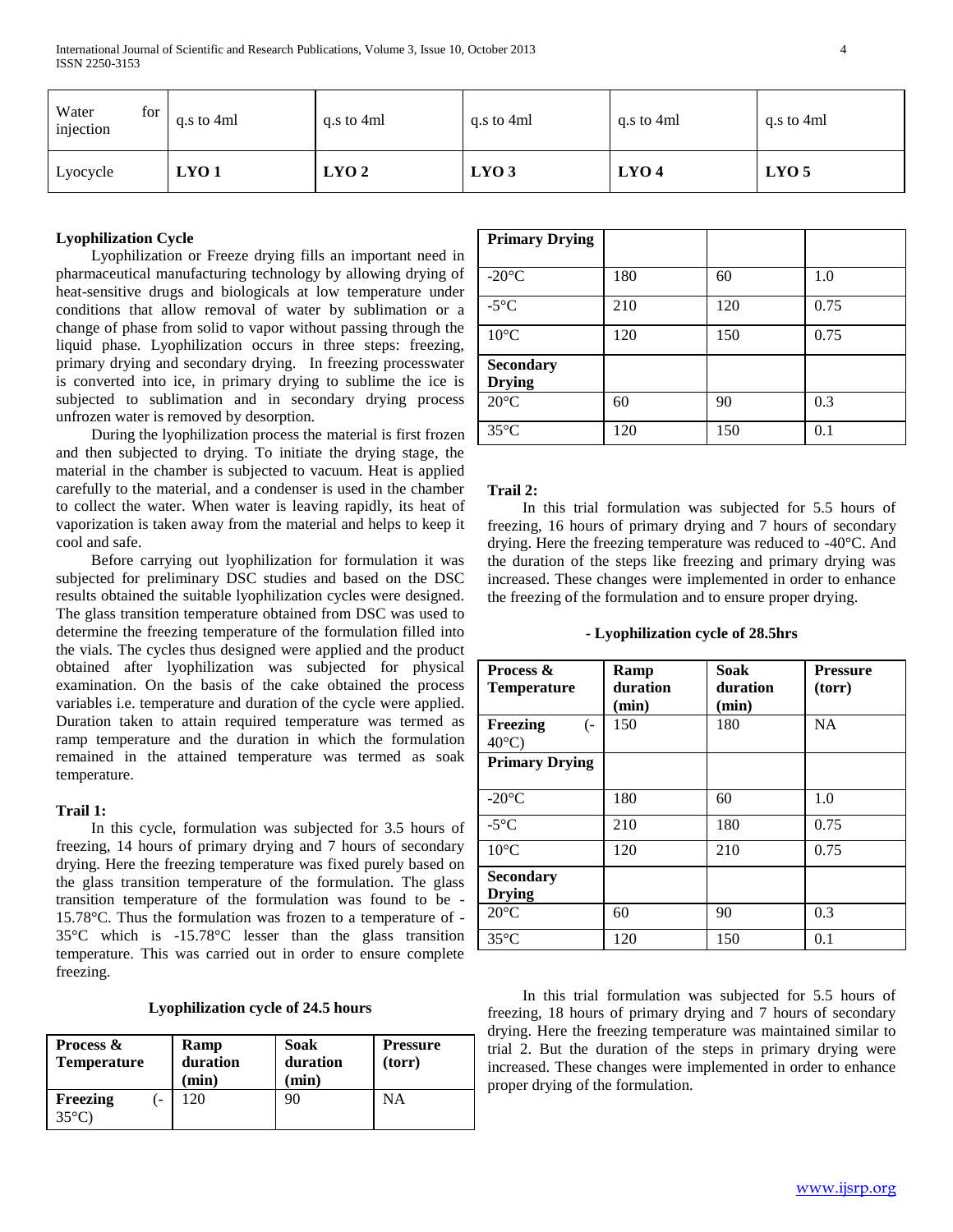| for<br>Water<br>injection | q.s to 4ml       | g.s to 4ml       | q.s to 4ml       | g.s to 4ml       | g.s to 4ml       |
|---------------------------|------------------|------------------|------------------|------------------|------------------|
| Lyocycle                  | LYO <sub>1</sub> | LYO <sub>2</sub> | LYO <sub>3</sub> | LYO <sub>4</sub> | LYO <sub>5</sub> |

#### **Lyophilization Cycle**

 Lyophilization or Freeze drying fills an important need in pharmaceutical manufacturing technology by allowing drying of heat-sensitive drugs and biologicals at low temperature under conditions that allow removal of water by sublimation or a change of phase from solid to vapor without passing through the liquid phase. Lyophilization occurs in three steps: freezing, primary drying and secondary drying. In freezing processwater is converted into ice, in primary drying to sublime the ice is subjected to sublimation and in secondary drying process unfrozen water is removed by desorption.

 During the lyophilization process the material is first frozen and then subjected to drying. To initiate the drying stage, the material in the chamber is subjected to vacuum. Heat is applied carefully to the material, and a condenser is used in the chamber to collect the water. When water is leaving rapidly, its heat of vaporization is taken away from the material and helps to keep it cool and safe.

 Before carrying out lyophilization for formulation it was subjected for preliminary DSC studies and based on the DSC results obtained the suitable lyophilization cycles were designed. The glass transition temperature obtained from DSC was used to determine the freezing temperature of the formulation filled into the vials. The cycles thus designed were applied and the product obtained after lyophilization was subjected for physical examination. On the basis of the cake obtained the process variables i.e. temperature and duration of the cycle were applied. Duration taken to attain required temperature was termed as ramp temperature and the duration in which the formulation remained in the attained temperature was termed as soak temperature.

#### **Trail 1:**

 In this cycle, formulation was subjected for 3.5 hours of freezing, 14 hours of primary drying and 7 hours of secondary drying. Here the freezing temperature was fixed purely based on the glass transition temperature of the formulation. The glass transition temperature of the formulation was found to be - 15.78°C. Thus the formulation was frozen to a temperature of - 35°C which is -15.78°C lesser than the glass transition temperature. This was carried out in order to ensure complete freezing.

#### **Lyophilization cycle of 24.5 hours**

| Process &<br><b>Temperature</b> | Ramp<br>duration<br>$(\min)$ | Soak<br>duration<br>(min) | <b>Pressure</b><br>(torr) |
|---------------------------------|------------------------------|---------------------------|---------------------------|
| Freezing<br>$35^{\circ}$ C)     | $20^{\circ}$                 | 90                        | ΝA                        |

| <b>Primary Drying</b> |     |     |      |
|-----------------------|-----|-----|------|
|                       |     |     |      |
| $-20^{\circ}$ C       | 180 | 60  | 1.0  |
| $-5^{\circ}$ C        | 210 | 120 | 0.75 |
| $10^{\circ}$ C        | 120 | 150 | 0.75 |
| <b>Secondary</b>      |     |     |      |
| <b>Drying</b>         |     |     |      |
| $20^{\circ}$ C        | 60  | 90  | 0.3  |
| $35^{\circ}$ C        | 120 | 150 | 0.1  |

#### **Trail 2:**

 In this trial formulation was subjected for 5.5 hours of freezing, 16 hours of primary drying and 7 hours of secondary drying. Here the freezing temperature was reduced to -40°C. And the duration of the steps like freezing and primary drying was increased. These changes were implemented in order to enhance the freezing of the formulation and to ensure proper drying.

#### **- Lyophilization cycle of 28.5hrs**

| <b>Process &amp;</b><br><b>Temperature</b> | Ramp<br>duration<br>(min) | <b>Soak</b><br>duration<br>(min) | <b>Pressure</b><br>(torr) |
|--------------------------------------------|---------------------------|----------------------------------|---------------------------|
| Freezing<br>( –<br>$40^{\circ}$ C)         | 150                       | 180                              | NA                        |
| <b>Primary Drying</b>                      |                           |                                  |                           |
| $-20^{\circ}$ C                            | 180                       | 60                               | 1.0                       |
| $-5^{\circ}$ C                             | 210                       | 180                              | 0.75                      |
| $10^{\circ}$ C                             | 120                       | 210                              | 0.75                      |
| <b>Secondary</b><br><b>Drying</b>          |                           |                                  |                           |
| $20^{\circ}$ C                             | 60                        | 90                               | 0.3                       |
| $35^{\circ}$ C                             | 120                       | 150                              | 0.1                       |

 In this trial formulation was subjected for 5.5 hours of freezing, 18 hours of primary drying and 7 hours of secondary drying. Here the freezing temperature was maintained similar to trial 2. But the duration of the steps in primary drying were increased. These changes were implemented in order to enhance proper drying of the formulation.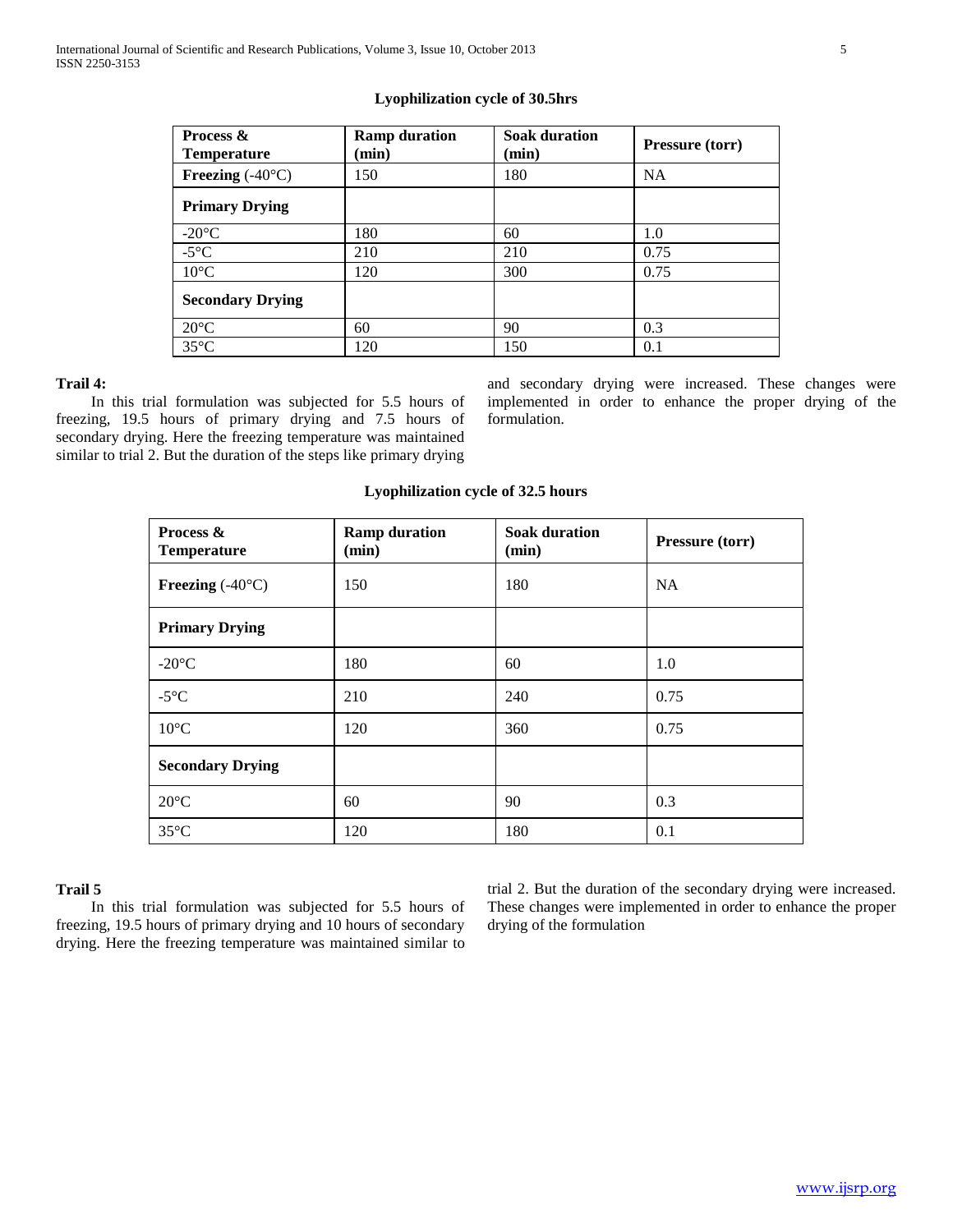#### **Lyophilization cycle of 30.5hrs**

| Process &<br><b>Temperature</b> | <b>Ramp duration</b><br>(min) | <b>Soak duration</b><br>$(\min)$ | <b>Pressure (torr)</b> |
|---------------------------------|-------------------------------|----------------------------------|------------------------|
| Freezing $(-40^{\circ}C)$       | 150                           | 180                              | NA                     |
| <b>Primary Drying</b>           |                               |                                  |                        |
| $-20^{\circ}$ C                 | 180                           | 60                               | 1.0                    |
| $-5^{\circ}$ C                  | 210                           | 210                              | 0.75                   |
| $10^{\circ}$ C                  | 120                           | 300                              | 0.75                   |
| <b>Secondary Drying</b>         |                               |                                  |                        |
| $20^{\circ}$ C                  | 60                            | 90                               | 0.3                    |
| $35^{\circ}$ C                  | 120                           | 150                              | 0.1                    |

## **Trail 4:**

 In this trial formulation was subjected for 5.5 hours of freezing, 19.5 hours of primary drying and 7.5 hours of secondary drying. Here the freezing temperature was maintained similar to trial 2. But the duration of the steps like primary drying

and secondary drying were increased. These changes were implemented in order to enhance the proper drying of the formulation.

#### **Lyophilization cycle of 32.5 hours**

| Process &<br><b>Temperature</b> | <b>Ramp duration</b><br>(min) | <b>Soak duration</b><br>(min) | Pressure (torr) |
|---------------------------------|-------------------------------|-------------------------------|-----------------|
| Freezing $(-40^{\circ}C)$       | 150                           | 180                           | <b>NA</b>       |
| <b>Primary Drying</b>           |                               |                               |                 |
| $-20^{\circ}$ C                 | 180                           | 60                            | 1.0             |
| $-5^{\circ}C$                   | 210                           | 240                           | 0.75            |
| $10^{\circ}$ C                  | 120                           | 360                           | 0.75            |
| <b>Secondary Drying</b>         |                               |                               |                 |
| $20^{\circ}$ C                  | 60                            | 90                            | 0.3             |
| $35^{\circ}$ C                  | 120                           | 180                           | 0.1             |

#### **Trail 5**

 In this trial formulation was subjected for 5.5 hours of freezing, 19.5 hours of primary drying and 10 hours of secondary drying. Here the freezing temperature was maintained similar to

trial 2. But the duration of the secondary drying were increased. These changes were implemented in order to enhance the proper drying of the formulation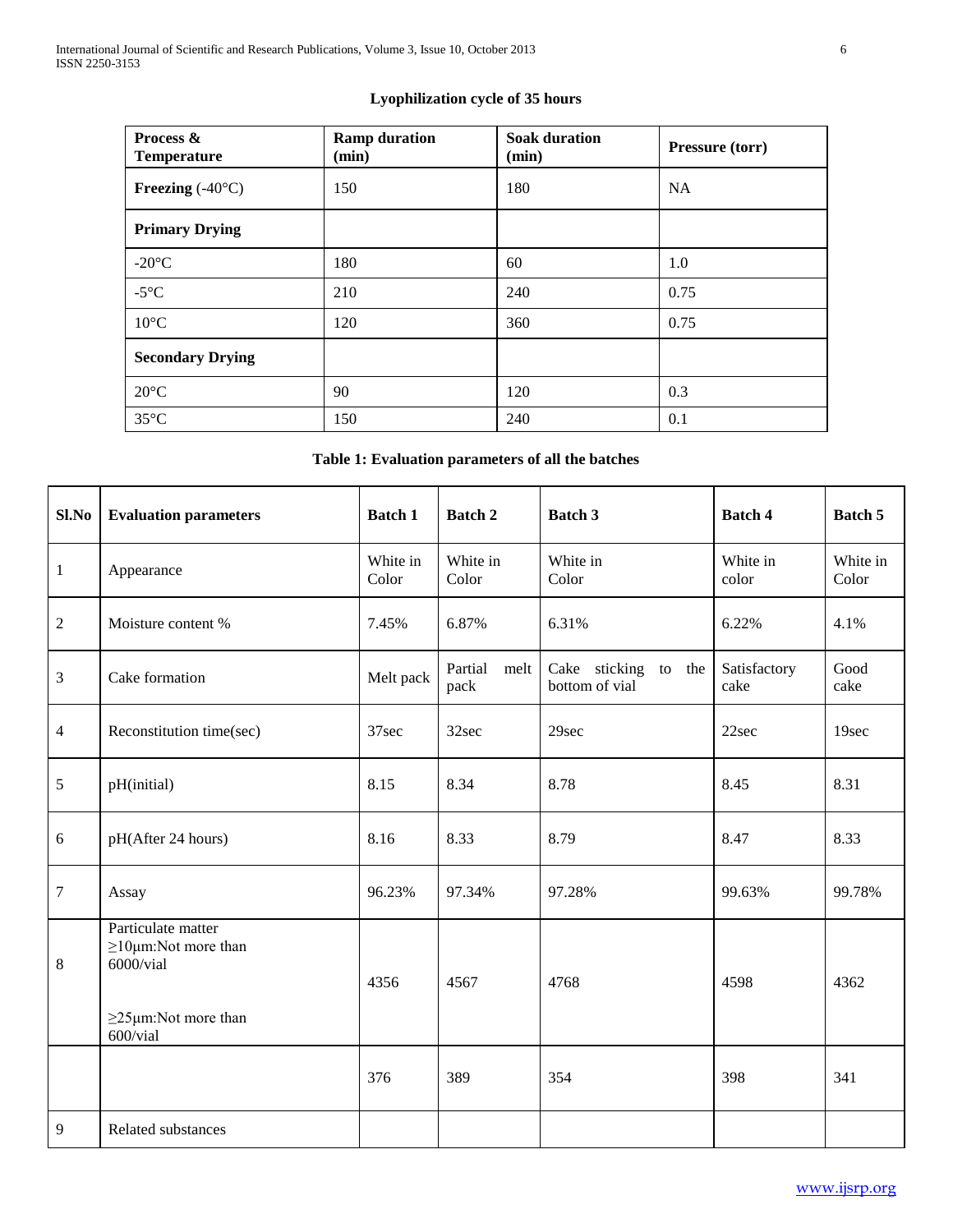# **Lyophilization cycle of 35 hours**

| Process &<br><b>Temperature</b> | <b>Ramp duration</b><br>(min) | <b>Soak duration</b><br>(min) | <b>Pressure (torr)</b> |
|---------------------------------|-------------------------------|-------------------------------|------------------------|
| Freezing $(-40^{\circ}C)$       | 150                           | 180                           | <b>NA</b>              |
| <b>Primary Drying</b>           |                               |                               |                        |
| $-20^{\circ}$ C                 | 180                           | 60                            | 1.0                    |
| $-5^{\circ}C$                   | 210                           | 240                           | 0.75                   |
| $10^{\circ}$ C                  | 120                           | 360                           | 0.75                   |
| <b>Secondary Drying</b>         |                               |                               |                        |
| $20^{\circ}$ C                  | 90                            | 120                           | 0.3                    |
| $35^{\circ}$ C                  | 150                           | 240                           | 0.1                    |

# **Table 1: Evaluation parameters of all the batches**

| Sl.No            | <b>Evaluation parameters</b>                                                                          | <b>Batch 1</b>    | Batch 2              | <b>Batch 3</b>                         | <b>Batch 4</b>       | Batch 5           |
|------------------|-------------------------------------------------------------------------------------------------------|-------------------|----------------------|----------------------------------------|----------------------|-------------------|
| $\mathbf{1}$     | Appearance                                                                                            | White in<br>Color | White in<br>Color    | White in<br>Color                      | White in<br>color    | White in<br>Color |
| $\overline{c}$   | Moisture content %                                                                                    | 7.45%             | 6.87%                | 6.31%                                  | 6.22%                | 4.1%              |
| 3                | Cake formation                                                                                        | Melt pack         | Partial melt<br>pack | Cake sticking to the<br>bottom of vial | Satisfactory<br>cake | Good<br>cake      |
| $\overline{4}$   | Reconstitution time(sec)                                                                              | 37sec             | 32sec                | 29sec                                  | 22sec                | 19sec             |
| 5                | pH(initial)                                                                                           | 8.15              | 8.34                 | 8.78                                   | 8.45                 | 8.31              |
| 6                | pH(After 24 hours)                                                                                    | 8.16              | 8.33                 | 8.79                                   | 8.47                 | 8.33              |
| $\boldsymbol{7}$ | Assay                                                                                                 | 96.23%            | 97.34%               | 97.28%                                 | 99.63%               | 99.78%            |
| 8                | Particulate matter<br>$\geq$ 10µm:Not more than<br>6000/vial<br>$\geq$ 25µm:Not more than<br>600/vial | 4356              | 4567                 | 4768                                   | 4598                 | 4362              |
|                  |                                                                                                       | 376               | 389                  | 354                                    | 398                  | 341               |
| 9                | Related substances                                                                                    |                   |                      |                                        |                      |                   |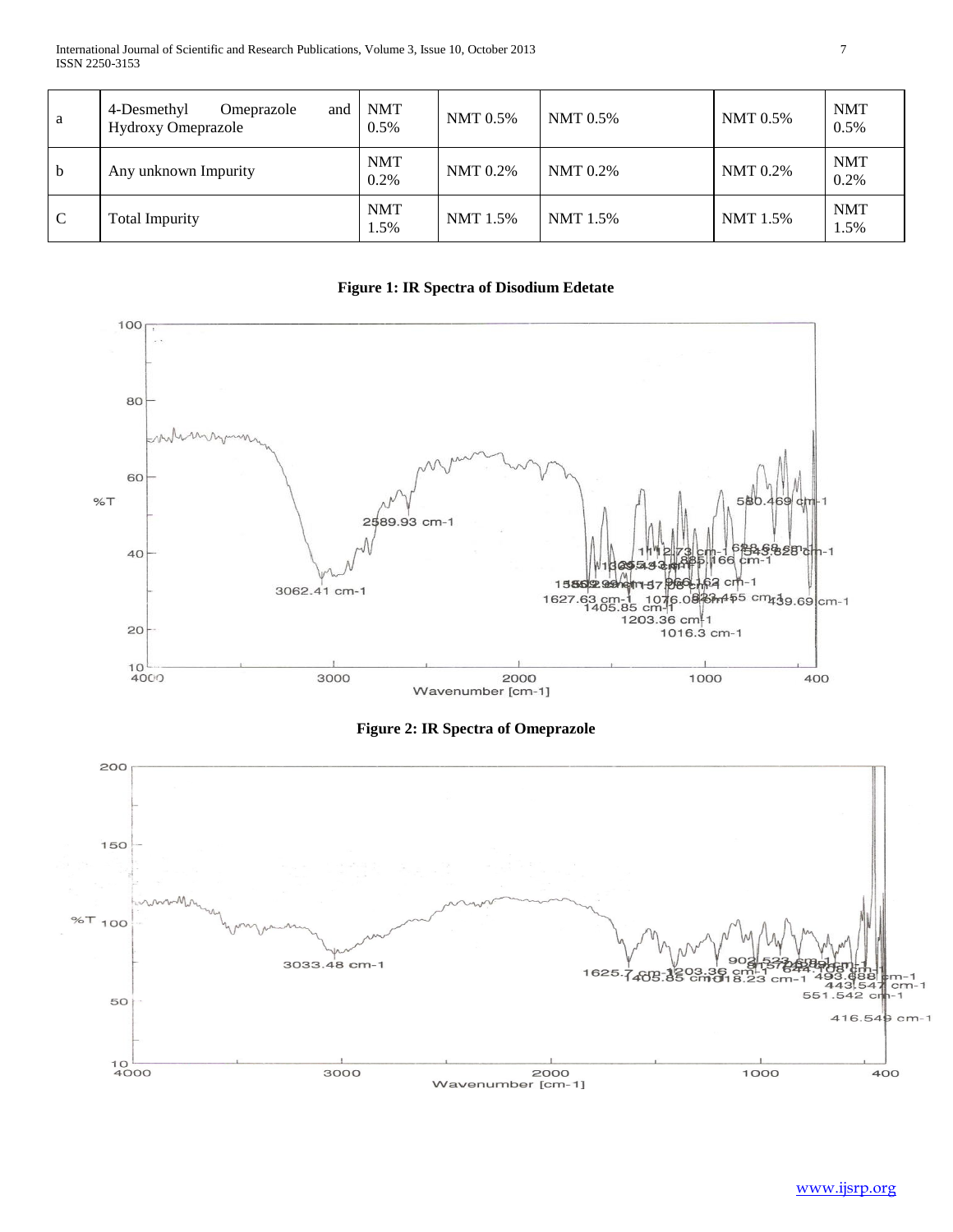International Journal of Scientific and Research Publications, Volume 3, Issue 10, October 2013 7 ISSN 2250-3153

| a             | 4-Desmethyl<br>and<br>Omeprazole<br><b>Hydroxy Omeprazole</b> | <b>NMT</b><br>0.5% | <b>NMT</b> 0.5% | NMT 0.5% | NMT 0.5%        | <b>NMT</b><br>0.5% |
|---------------|---------------------------------------------------------------|--------------------|-----------------|----------|-----------------|--------------------|
| $\mathbf b$   | Any unknown Impurity                                          | <b>NMT</b><br>0.2% | <b>NMT</b> 0.2% | NMT 0.2% | <b>NMT</b> 0.2% | <b>NMT</b><br>0.2% |
| $\mathcal{C}$ | <b>Total Impurity</b>                                         | <b>NMT</b><br>1.5% | NMT 1.5%        | NMT 1.5% | NMT 1.5%        | <b>NMT</b><br>1.5% |

**Figure 1: IR Spectra of Disodium Edetate**



**Figure 2: IR Spectra of Omeprazole**

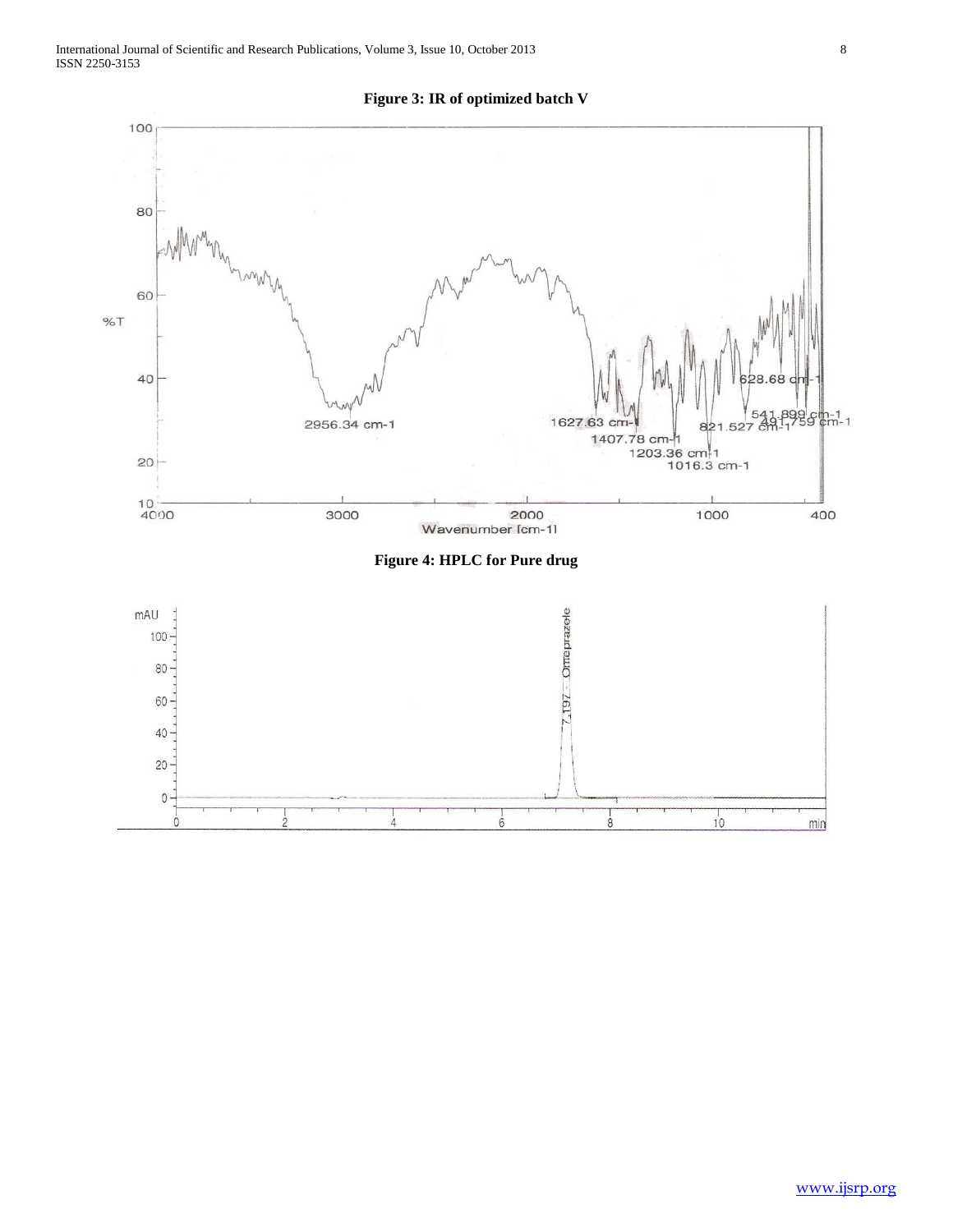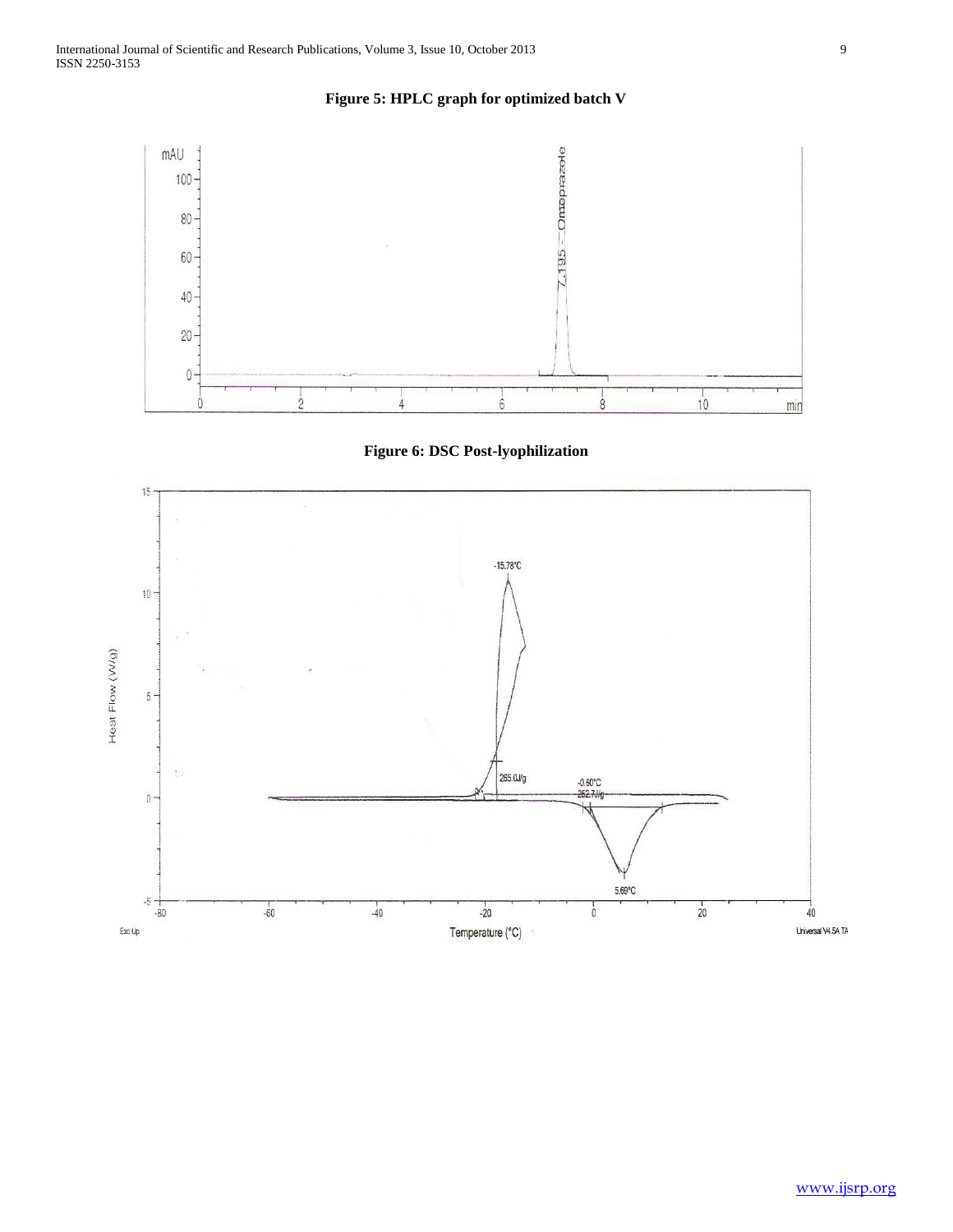





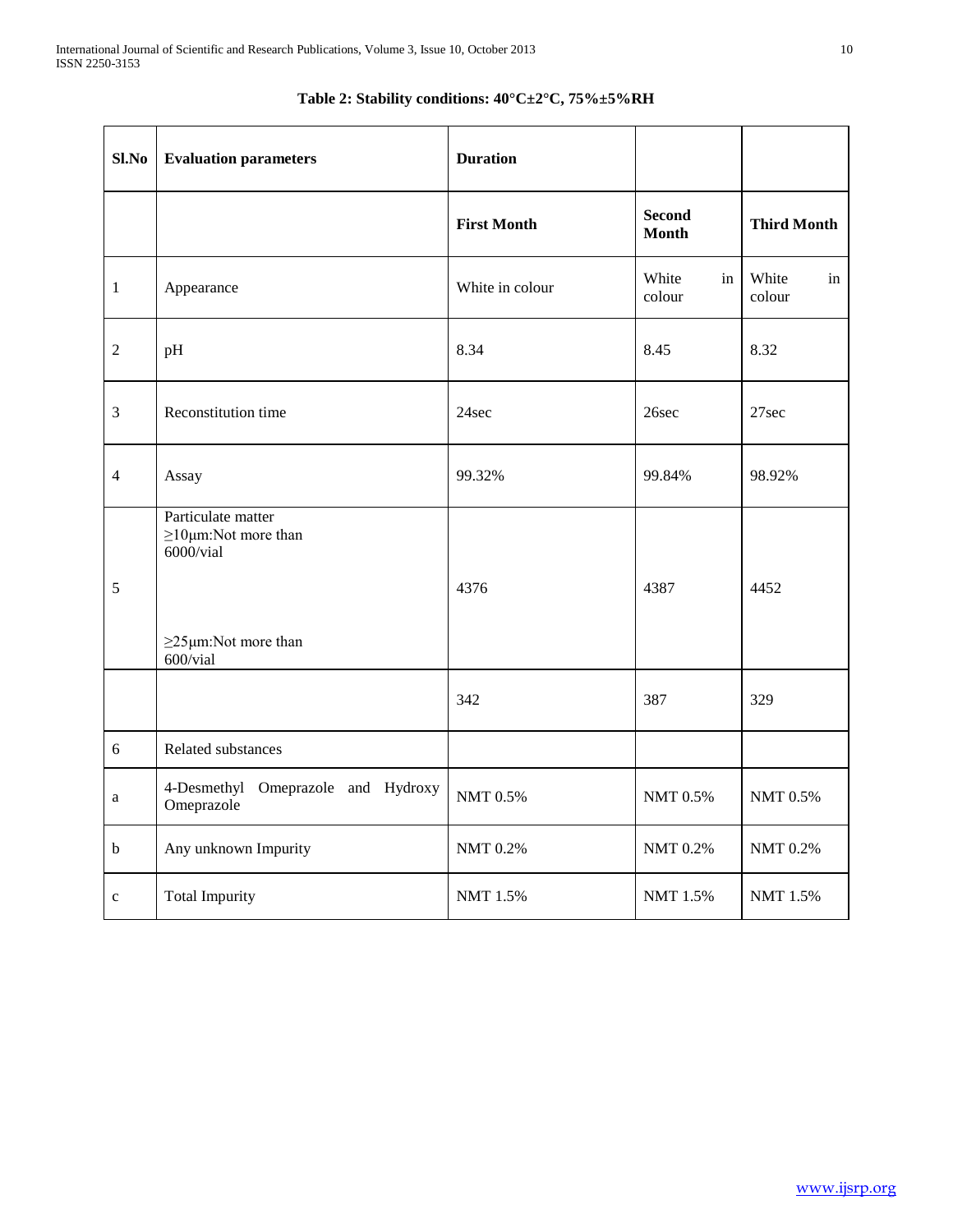| $Sl$ . No      | <b>Evaluation parameters</b>                                                                                   | <b>Duration</b>    |                               |                       |
|----------------|----------------------------------------------------------------------------------------------------------------|--------------------|-------------------------------|-----------------------|
|                |                                                                                                                | <b>First Month</b> | <b>Second</b><br><b>Month</b> | <b>Third Month</b>    |
| $\mathbf{1}$   | Appearance                                                                                                     | White in colour    | White<br>in<br>colour         | White<br>in<br>colour |
| $\overline{2}$ | pH                                                                                                             | 8.34               | 8.45                          | 8.32                  |
| 3              | Reconstitution time                                                                                            | 24sec              | 26sec                         | 27sec                 |
| $\overline{4}$ | Assay                                                                                                          | 99.32%             | 99.84%                        | 98.92%                |
| 5              | Particulate matter<br>$\geq$ 10µm:Not more than<br>6000/vial<br>$\geq$ 25µm:Not more than<br>$600/\text{vial}$ | 4376               | 4387                          | 4452                  |
|                |                                                                                                                | 342                | 387                           | 329                   |
| 6              | Related substances                                                                                             |                    |                               |                       |
| a              | 4-Desmethyl Omeprazole and Hydroxy<br>Omeprazole                                                               | <b>NMT 0.5%</b>    | <b>NMT 0.5%</b>               | NMT 0.5%              |
| b              | Any unknown Impurity                                                                                           | <b>NMT 0.2%</b>    | <b>NMT 0.2%</b>               | <b>NMT 0.2%</b>       |
| $\mathbf c$    | <b>Total Impurity</b>                                                                                          | <b>NMT 1.5%</b>    | <b>NMT 1.5%</b>               | <b>NMT 1.5%</b>       |

# **Table 2: Stability conditions: 40°C±2°C, 75%±5%RH**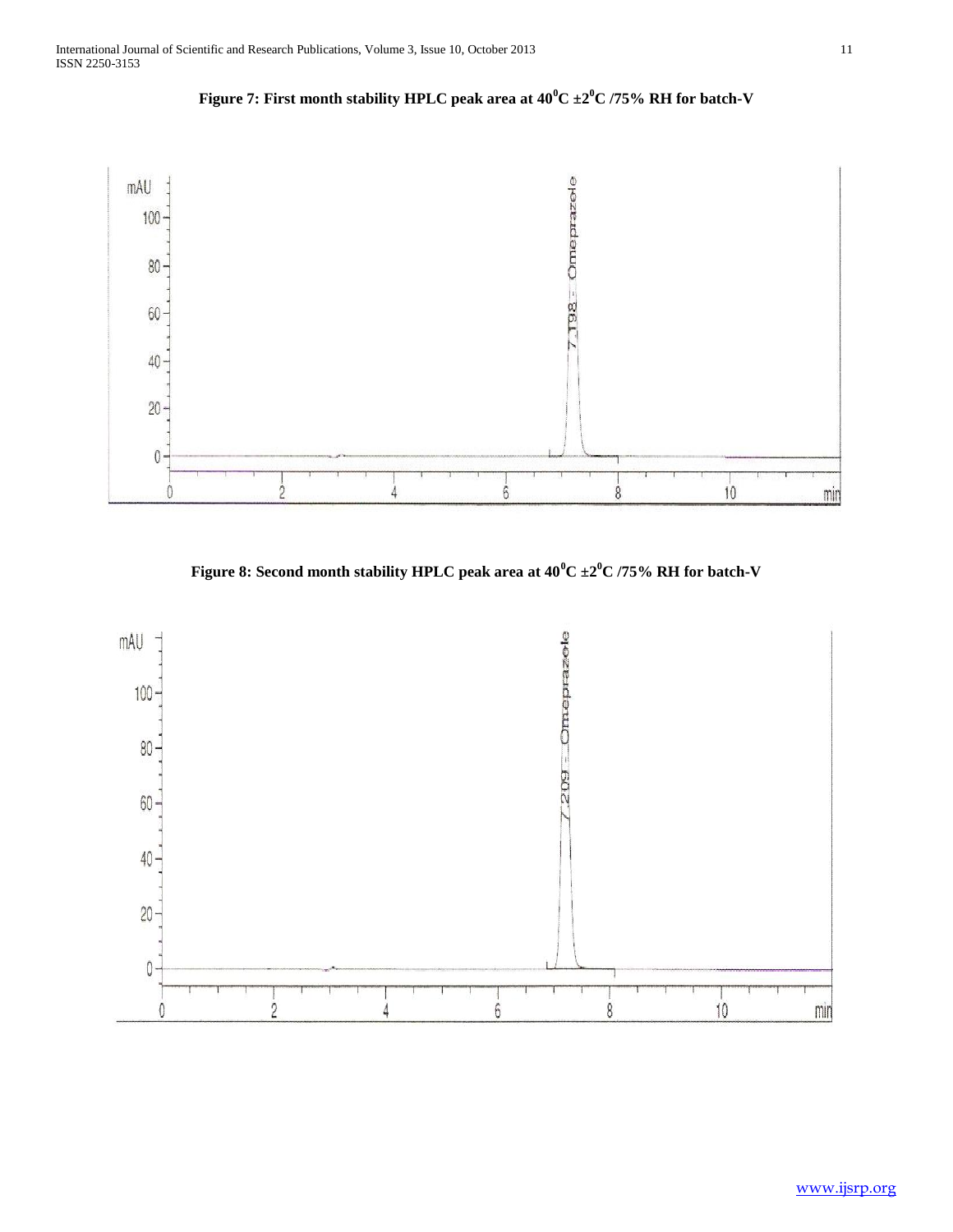

**Figure 7: First month stability HPLC peak area at 40<sup>0</sup>C ±2<sup>0</sup>C /75% RH for batch-V**

**Figure 8: Second month stability HPLC peak area at 40<sup>0</sup>C ±2<sup>0</sup>C /75% RH for batch-V**

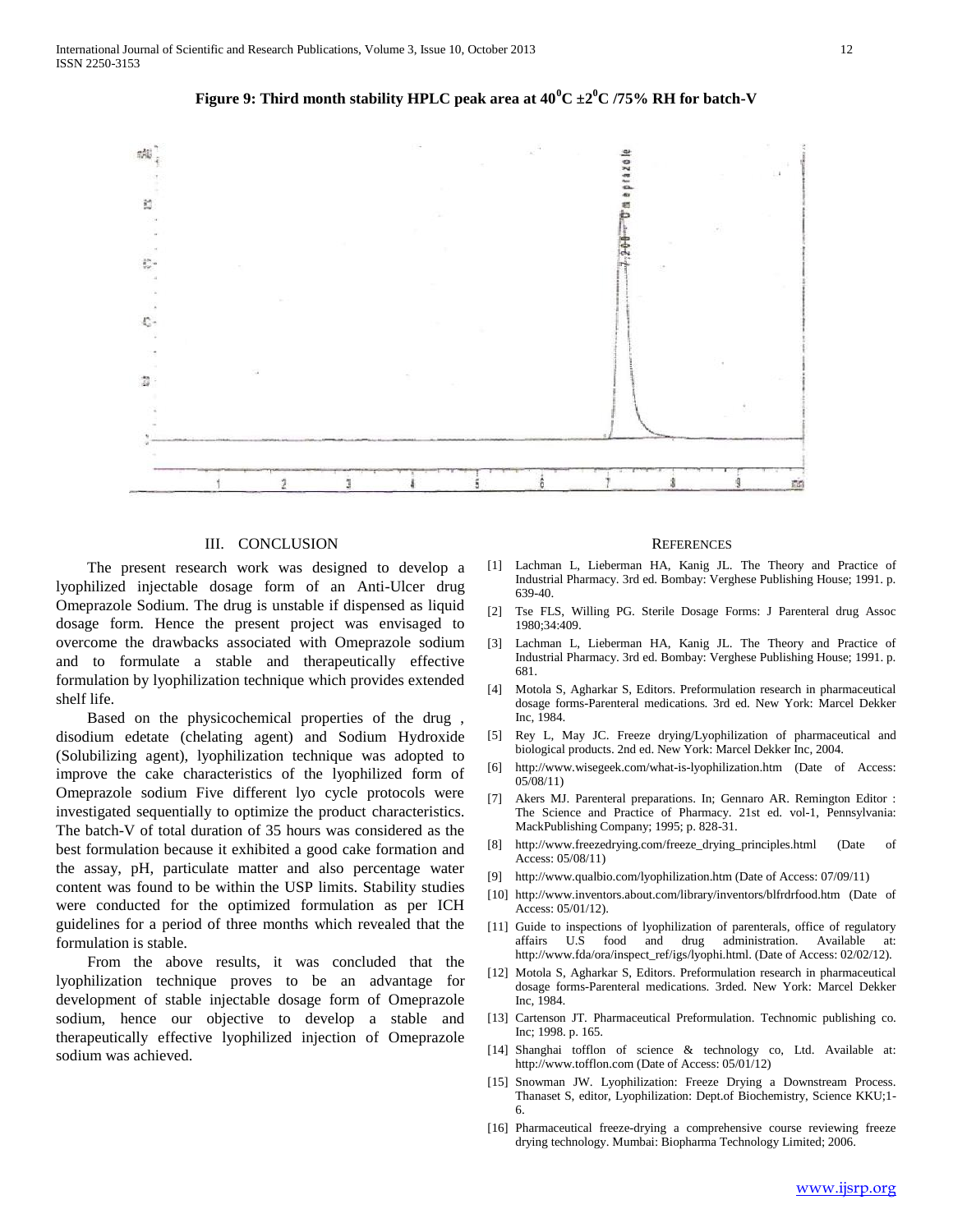

**Figure 9: Third month stability HPLC peak area at**  $40^{\circ}C \pm 2^{\circ}C$  **/75% RH for batch-V** 

#### III. CONCLUSION

 The present research work was designed to develop a lyophilized injectable dosage form of an Anti-Ulcer drug Omeprazole Sodium. The drug is unstable if dispensed as liquid dosage form. Hence the present project was envisaged to overcome the drawbacks associated with Omeprazole sodium and to formulate a stable and therapeutically effective formulation by lyophilization technique which provides extended shelf life.

 Based on the physicochemical properties of the drug , disodium edetate (chelating agent) and Sodium Hydroxide (Solubilizing agent), lyophilization technique was adopted to improve the cake characteristics of the lyophilized form of Omeprazole sodium Five different lyo cycle protocols were investigated sequentially to optimize the product characteristics. The batch-V of total duration of 35 hours was considered as the best formulation because it exhibited a good cake formation and the assay, pH, particulate matter and also percentage water content was found to be within the USP limits. Stability studies were conducted for the optimized formulation as per ICH guidelines for a period of three months which revealed that the formulation is stable.

 From the above results, it was concluded that the lyophilization technique proves to be an advantage for development of stable injectable dosage form of Omeprazole sodium, hence our objective to develop a stable and therapeutically effective lyophilized injection of Omeprazole sodium was achieved.

#### **REFERENCES**

- [1] Lachman L, Lieberman HA, Kanig JL. The Theory and Practice of Industrial Pharmacy. 3rd ed. Bombay: Verghese Publishing House; 1991. p. 639-40.
- [2] Tse FLS, Willing PG. Sterile Dosage Forms: J Parenteral drug Assoc 1980;34:409.
- [3] Lachman L, Lieberman HA, Kanig JL. The Theory and Practice of Industrial Pharmacy. 3rd ed. Bombay: Verghese Publishing House; 1991. p. 681.
- [4] Motola S, Agharkar S, Editors. Preformulation research in pharmaceutical dosage forms-Parenteral medications. 3rd ed. New York: Marcel Dekker Inc, 1984.
- [5] Rey L, May JC. Freeze drying/Lyophilization of pharmaceutical and biological products. 2nd ed. New York: Marcel Dekker Inc, 2004.
- [6] http://www.wisegeek.com/what-is-lyophilization.htm (Date of Access: 05/08/11)
- [7] Akers MJ. Parenteral preparations. In; Gennaro AR. Remington Editor : The Science and Practice of Pharmacy. 21st ed. vol-1, Pennsylvania: MackPublishing Company; 1995; p. 828-31.
- [8] http://www.freezedrying.com/freeze\_drying\_principles.html (Date of Access: 05/08/11)
- [9] http://www.qualbio.com/lyophilization.htm (Date of Access: 07/09/11)
- [10] http://www.inventors.about.com/library/inventors/blfrdrfood.htm (Date of Access: 05/01/12).
- [11] Guide to inspections of lyophilization of parenterals, office of regulatory affairs U.S food and drug administration. Available at: http://www.fda/ora/inspect\_ref/igs/lyophi.html. (Date of Access: 02/02/12).
- [12] Motola S, Agharkar S, Editors. Preformulation research in pharmaceutical dosage forms-Parenteral medications. 3rded. New York: Marcel Dekker Inc, 1984.
- [13] Cartenson JT. Pharmaceutical Preformulation. Technomic publishing co. Inc; 1998. p. 165.
- [14] Shanghai tofflon of science & technology co, Ltd. Available at: http://www.tofflon.com (Date of Access: 05/01/12)
- [15] Snowman JW. Lyophilization: Freeze Drying a Downstream Process. Thanaset S, editor, Lyophilization: Dept.of Biochemistry, Science KKU;1- 6.
- [16] Pharmaceutical freeze-drying a comprehensive course reviewing freeze drying technology. Mumbai: Biopharma Technology Limited; 2006.